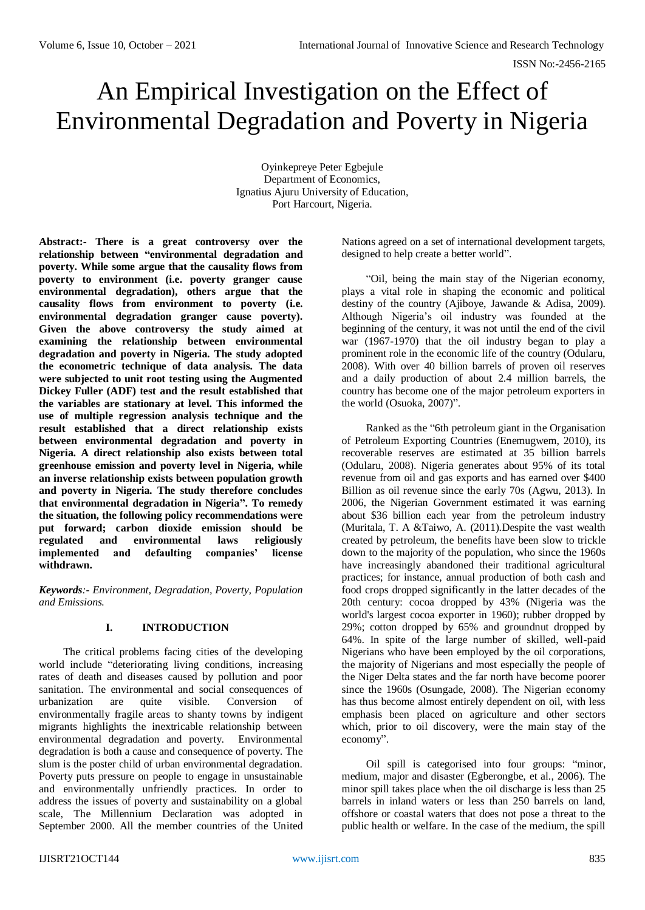# An Empirical Investigation on the Effect of Environmental Degradation and Poverty in Nigeria

Oyinkepreye Peter Egbejule Department of Economics, Ignatius Ajuru University of Education, Port Harcourt, Nigeria.

**Abstract:- There is a great controversy over the relationship between "environmental degradation and poverty. While some argue that the causality flows from poverty to environment (i.e. poverty granger cause**  environmental degradation), others argue that the **causality flows from environment to poverty (i.e. environmental degradation granger cause poverty). Given the above controversy the study aimed at examining the relationship between environmental degradation and poverty in Nigeria. The study adopted the econometric technique of data analysis. The data were subjected to unit root testing using the Augmented Dickey Fuller (ADF) test and the result established that the variables are stationary at level. This informed the use of multiple regression analysis technique and the result established that a direct relationship exists between environmental degradation and poverty in Nigeria. A direct relationship also exists between total greenhouse emission and poverty level in Nigeria, while an inverse relationship exists between population growth and poverty in Nigeria. The study therefore concludes that environmental degradation in Nigeria". To remedy the situation, the following policy recommendations were put forward; carbon dioxide emission should be regulated and environmental laws religiously**  implemented and defaulting companies' **withdrawn.**

*Keywords:- Environment, Degradation, Poverty, Population and Emissions.*

## **I. INTRODUCTION**

The critical problems facing cities of the developing world include "deteriorating living conditions, increasing rates of death and diseases caused by pollution and poor sanitation. The environmental and social consequences of urbanization are quite visible. Conversion of environmentally fragile areas to shanty towns by indigent migrants highlights the inextricable relationship between environmental degradation and poverty. Environmental degradation is both a cause and consequence of poverty. The slum is the poster child of urban environmental degradation. Poverty puts pressure on people to engage in unsustainable and environmentally unfriendly practices. In order to address the issues of poverty and sustainability on a global scale, The Millennium Declaration was adopted in September 2000. All the member countries of the United

Nations agreed on a set of international development targets, designed to help create a better world".

"Oil, being the main stay of the Nigerian economy, plays a vital role in shaping the economic and political destiny of the country (Ajiboye, Jawande & Adisa, 2009). Although Nigeria's oil industry was founded at the beginning of the century, it was not until the end of the civil war (1967-1970) that the oil industry began to play a prominent role in the economic life of the country (Odularu, 2008). With over 40 billion barrels of proven oil reserves and a daily production of about 2.4 million barrels, the country has become one of the major petroleum exporters in the world (Osuoka, 2007)".

Ranked as the "6th petroleum giant in the Organisation of Petroleum Exporting Countries (Enemugwem, 2010), its recoverable reserves are estimated at 35 billion barrels (Odularu, 2008). Nigeria generates about 95% of its total revenue from oil and gas exports and has earned over \$400 Billion as oil revenue since the early 70s (Agwu, 2013). In 2006, the Nigerian Government estimated it was earning about \$36 billion each year from the petroleum industry (Muritala, T. A &Taiwo, A. (2011).Despite the vast wealth created by petroleum, the benefits have been slow to trickle down to the majority of the population, who since the 1960s have increasingly abandoned their traditional agricultural practices; for instance, annual production of both cash and food crops dropped significantly in the latter decades of the 20th century: cocoa dropped by 43% (Nigeria was the world's largest cocoa exporter in 1960); rubber dropped by 29%; cotton dropped by 65% and groundnut dropped by 64%. In spite of the large number of skilled, well-paid Nigerians who have been employed by the oil corporations, the majority of Nigerians and most especially the people of the Niger Delta states and the far north have become poorer since the 1960s (Osungade, 2008). The Nigerian economy has thus become almost entirely dependent on oil, with less emphasis been placed on agriculture and other sectors which, prior to oil discovery, were the main stay of the economy".

Oil spill is categorised into four groups: "minor, medium, major and disaster (Egberongbe, et al., 2006). The minor spill takes place when the oil discharge is less than 25 barrels in inland waters or less than 250 barrels on land, offshore or coastal waters that does not pose a threat to the public health or welfare. In the case of the medium, the spill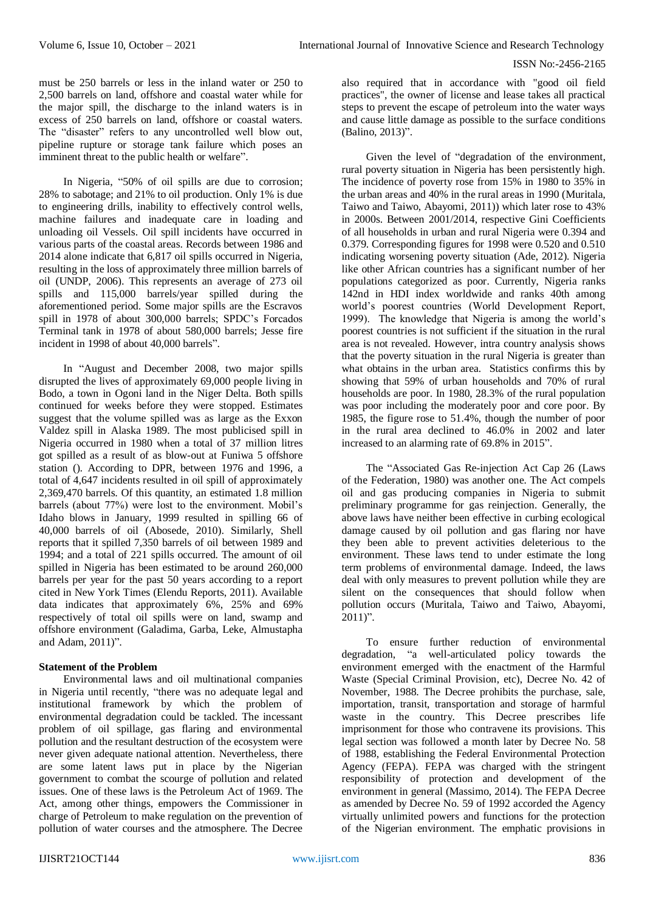must be 250 barrels or less in the inland water or 250 to 2,500 barrels on land, offshore and coastal water while for the major spill, the discharge to the inland waters is in excess of 250 barrels on land, offshore or coastal waters. The "disaster" refers to any uncontrolled well blow out, pipeline rupture or storage tank failure which poses an imminent threat to the public health or welfare".

In Nigeria, "50% of oil spills are due to corrosion; 28% to sabotage; and 21% to oil production. Only 1% is due to engineering drills, inability to effectively control wells, machine failures and inadequate care in loading and unloading oil Vessels. Oil spill incidents have occurred in various parts of the coastal areas. Records between 1986 and 2014 alone indicate that 6,817 oil spills occurred in Nigeria, resulting in the loss of approximately three million barrels of oil (UNDP, 2006). This represents an average of 273 oil spills and 115,000 barrels/year spilled during the aforementioned period. Some major spills are the Escravos spill in 1978 of about 300,000 barrels; SPDC's Forcados Terminal tank in 1978 of about 580,000 barrels; Jesse fire incident in 1998 of about 40,000 barrels".

In "August and December 2008, two major spills disrupted the lives of approximately 69,000 people living in Bodo, a town in Ogoni land in the Niger Delta. Both spills continued for weeks before they were stopped. Estimates suggest that the volume spilled was as large as the Exxon Valdez spill in Alaska 1989. The most publicised spill in Nigeria occurred in 1980 when a total of 37 million litres got spilled as a result of as blow-out at Funiwa 5 offshore station (). According to DPR, between 1976 and 1996, a total of 4,647 incidents resulted in oil spill of approximately 2,369,470 barrels. Of this quantity, an estimated 1.8 million barrels (about 77%) were lost to the environment. Mobil's Idaho blows in January, 1999 resulted in spilling 66 of 40,000 barrels of oil (Abosede, 2010). Similarly, Shell reports that it spilled 7,350 barrels of oil between 1989 and 1994; and a total of 221 spills occurred. The amount of oil spilled in Nigeria has been estimated to be around 260,000 barrels per year for the past 50 years according to a report cited in New York Times (Elendu Reports, 2011). Available data indicates that approximately 6%, 25% and 69% respectively of total oil spills were on land, swamp and offshore environment (Galadima, Garba, Leke, Almustapha and Adam, 2011)".

#### **Statement of the Problem**

Environmental laws and oil multinational companies in Nigeria until recently, "there was no adequate legal and institutional framework by which the problem of environmental degradation could be tackled. The incessant problem of oil spillage, gas flaring and environmental pollution and the resultant destruction of the ecosystem were never given adequate national attention. Nevertheless, there are some latent laws put in place by the Nigerian government to combat the scourge of pollution and related issues. One of these laws is the Petroleum Act of 1969. The Act, among other things, empowers the Commissioner in charge of Petroleum to make regulation on the prevention of pollution of water courses and the atmosphere. The Decree

also required that in accordance with "good oil field practices", the owner of license and lease takes all practical steps to prevent the escape of petroleum into the water ways and cause little damage as possible to the surface conditions (Balino, 2013)".

Given the level of "degradation of the environment, rural poverty situation in Nigeria has been persistently high. The incidence of poverty rose from 15% in 1980 to 35% in the urban areas and 40% in the rural areas in 1990 (Muritala, Taiwo and Taiwo, Abayomi, 2011)) which later rose to 43% in 2000s. Between 2001/2014, respective Gini Coefficients of all households in urban and rural Nigeria were 0.394 and 0.379. Corresponding figures for 1998 were 0.520 and 0.510 indicating worsening poverty situation (Ade, 2012). Nigeria like other African countries has a significant number of her populations categorized as poor. Currently, Nigeria ranks 142nd in HDI index worldwide and ranks 40th among world's poorest countries (World Development Report, 1999). The knowledge that Nigeria is among the world's poorest countries is not sufficient if the situation in the rural area is not revealed. However, intra country analysis shows that the poverty situation in the rural Nigeria is greater than what obtains in the urban area. Statistics confirms this by showing that 59% of urban households and 70% of rural households are poor. In 1980, 28.3% of the rural population was poor including the moderately poor and core poor. By 1985, the figure rose to 51.4%, though the number of poor in the rural area declined to 46.0% in 2002 and later increased to an alarming rate of 69.8% in 2015".

The "Associated Gas Re-injection Act Cap 26 (Laws of the Federation, 1980) was another one. The Act compels oil and gas producing companies in Nigeria to submit preliminary programme for gas reinjection. Generally, the above laws have neither been effective in curbing ecological damage caused by oil pollution and gas flaring nor have they been able to prevent activities deleterious to the environment. These laws tend to under estimate the long term problems of environmental damage. Indeed, the laws deal with only measures to prevent pollution while they are silent on the consequences that should follow when pollution occurs (Muritala, Taiwo and Taiwo, Abayomi,  $2011$ ".

To ensure further reduction of environmental degradation, "a well-articulated policy towards the environment emerged with the enactment of the Harmful Waste (Special Criminal Provision, etc), Decree No. 42 of November, 1988. The Decree prohibits the purchase, sale, importation, transit, transportation and storage of harmful waste in the country. This Decree prescribes life imprisonment for those who contravene its provisions. This legal section was followed a month later by Decree No. 58 of 1988, establishing the Federal Environmental Protection Agency (FEPA). FEPA was charged with the stringent responsibility of protection and development of the environment in general (Massimo, 2014). The FEPA Decree as amended by Decree No. 59 of 1992 accorded the Agency virtually unlimited powers and functions for the protection of the Nigerian environment. The emphatic provisions in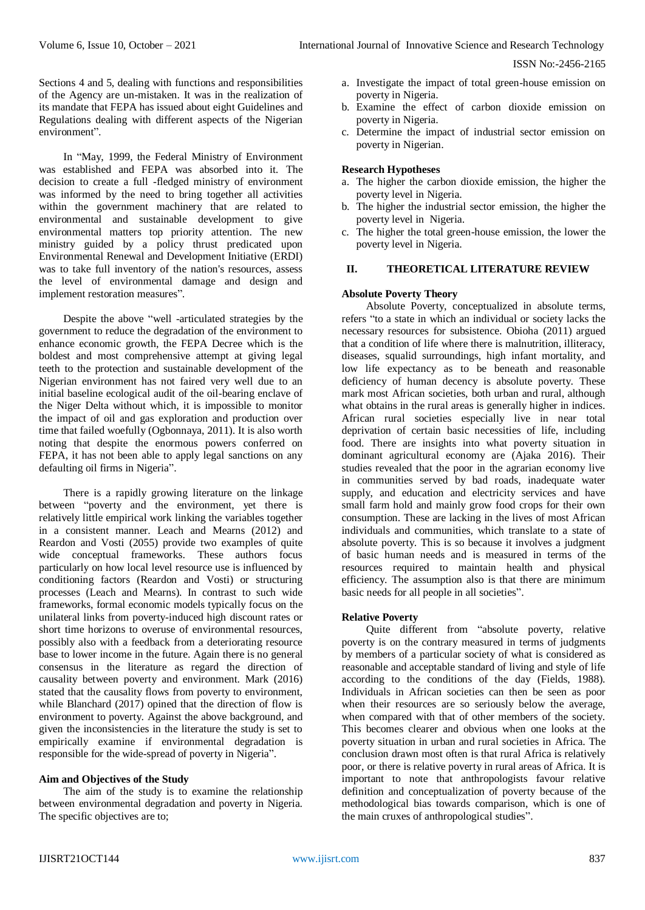Sections 4 and 5, dealing with functions and responsibilities of the Agency are un-mistaken. It was in the realization of its mandate that FEPA has issued about eight Guidelines and Regulations dealing with different aspects of the Nigerian environment".

In "May, 1999, the Federal Ministry of Environment was established and FEPA was absorbed into it. The decision to create a full -fledged ministry of environment was informed by the need to bring together all activities within the government machinery that are related to environmental and sustainable development to give environmental matters top priority attention. The new ministry guided by a policy thrust predicated upon Environmental Renewal and Development Initiative (ERDI) was to take full inventory of the nation's resources, assess the level of environmental damage and design and implement restoration measures".

Despite the above "well -articulated strategies by the government to reduce the degradation of the environment to enhance economic growth, the FEPA Decree which is the boldest and most comprehensive attempt at giving legal teeth to the protection and sustainable development of the Nigerian environment has not faired very well due to an initial baseline ecological audit of the oil-bearing enclave of the Niger Delta without which, it is impossible to monitor the impact of oil and gas exploration and production over time that failed woefully (Ogbonnaya, 2011). It is also worth noting that despite the enormous powers conferred on FEPA, it has not been able to apply legal sanctions on any defaulting oil firms in Nigeria".

There is a rapidly growing literature on the linkage between "poverty and the environment, yet there is relatively little empirical work linking the variables together in a consistent manner. Leach and Mearns (2012) and Reardon and Vosti (2055) provide two examples of quite wide conceptual frameworks. These authors focus particularly on how local level resource use is influenced by conditioning factors (Reardon and Vosti) or structuring processes (Leach and Mearns). In contrast to such wide frameworks, formal economic models typically focus on the unilateral links from poverty-induced high discount rates or short time horizons to overuse of environmental resources, possibly also with a feedback from a deteriorating resource base to lower income in the future. Again there is no general consensus in the literature as regard the direction of causality between poverty and environment. Mark (2016) stated that the causality flows from poverty to environment, while Blanchard (2017) opined that the direction of flow is environment to poverty. Against the above background, and given the inconsistencies in the literature the study is set to empirically examine if environmental degradation is responsible for the wide-spread of poverty in Nigeria".

## **Aim and Objectives of the Study**

The aim of the study is to examine the relationship between environmental degradation and poverty in Nigeria. The specific objectives are to;

- a. Investigate the impact of total green-house emission on poverty in Nigeria.
- b. Examine the effect of carbon dioxide emission on poverty in Nigeria.
- c. Determine the impact of industrial sector emission on poverty in Nigerian.

#### **Research Hypotheses**

- a. The higher the carbon dioxide emission, the higher the poverty level in Nigeria.
- b. The higher the industrial sector emission, the higher the poverty level in Nigeria.
- c. The higher the total green-house emission, the lower the poverty level in Nigeria.

# **II. THEORETICAL LITERATURE REVIEW**

#### **Absolute Poverty Theory**

Absolute Poverty, conceptualized in absolute terms, refers "to a state in which an individual or society lacks the necessary resources for subsistence. Obioha (2011) argued that a condition of life where there is malnutrition, illiteracy, diseases, squalid surroundings, high infant mortality, and low life expectancy as to be beneath and reasonable deficiency of human decency is absolute poverty. These mark most African societies, both urban and rural, although what obtains in the rural areas is generally higher in indices. African rural societies especially live in near total deprivation of certain basic necessities of life, including food. There are insights into what poverty situation in dominant agricultural economy are (Ajaka 2016). Their studies revealed that the poor in the agrarian economy live in communities served by bad roads, inadequate water supply, and education and electricity services and have small farm hold and mainly grow food crops for their own consumption. These are lacking in the lives of most African individuals and communities, which translate to a state of absolute poverty. This is so because it involves a judgment of basic human needs and is measured in terms of the resources required to maintain health and physical efficiency. The assumption also is that there are minimum basic needs for all people in all societies".

# **Relative Poverty**

Quite different from "absolute poverty, relative poverty is on the contrary measured in terms of judgments by members of a particular society of what is considered as reasonable and acceptable standard of living and style of life according to the conditions of the day (Fields, 1988). Individuals in African societies can then be seen as poor when their resources are so seriously below the average, when compared with that of other members of the society. This becomes clearer and obvious when one looks at the poverty situation in urban and rural societies in Africa. The conclusion drawn most often is that rural Africa is relatively poor, or there is relative poverty in rural areas of Africa. It is important to note that anthropologists favour relative definition and conceptualization of poverty because of the methodological bias towards comparison, which is one of the main cruxes of anthropological studies".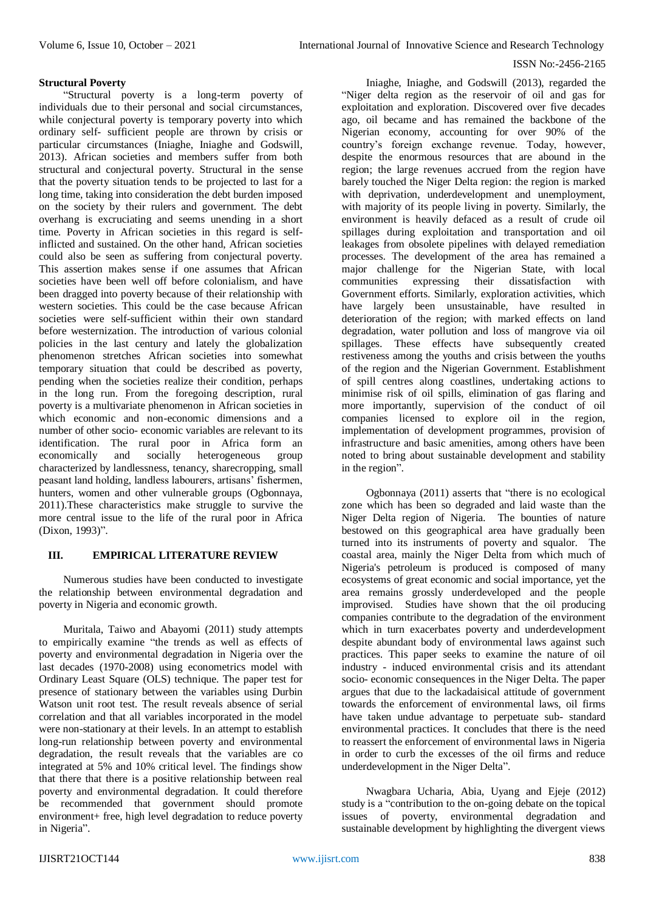## **Structural Poverty**

"Structural poverty is a long-term poverty of individuals due to their personal and social circumstances, while conjectural poverty is temporary poverty into which ordinary self- sufficient people are thrown by crisis or particular circumstances (Iniaghe, Iniaghe and Godswill, 2013). African societies and members suffer from both structural and conjectural poverty. Structural in the sense that the poverty situation tends to be projected to last for a long time, taking into consideration the debt burden imposed on the society by their rulers and government. The debt overhang is excruciating and seems unending in a short time. Poverty in African societies in this regard is selfinflicted and sustained. On the other hand, African societies could also be seen as suffering from conjectural poverty. This assertion makes sense if one assumes that African societies have been well off before colonialism, and have been dragged into poverty because of their relationship with western societies. This could be the case because African societies were self-sufficient within their own standard before westernization. The introduction of various colonial policies in the last century and lately the globalization phenomenon stretches African societies into somewhat temporary situation that could be described as poverty, pending when the societies realize their condition, perhaps in the long run. From the foregoing description, rural poverty is a multivariate phenomenon in African societies in which economic and non-economic dimensions and a number of other socio- economic variables are relevant to its identification. The rural poor in Africa form an economically and socially heterogeneous group characterized by landlessness, tenancy, sharecropping, small peasant land holding, landless labourers, artisans' fishermen, hunters, women and other vulnerable groups (Ogbonnaya, 2011).These characteristics make struggle to survive the more central issue to the life of the rural poor in Africa (Dixon, 1993)".

## **III. EMPIRICAL LITERATURE REVIEW**

Numerous studies have been conducted to investigate the relationship between environmental degradation and poverty in Nigeria and economic growth.

Muritala, Taiwo and Abayomi (2011) study attempts to empirically examine "the trends as well as effects of poverty and environmental degradation in Nigeria over the last decades (1970-2008) using econometrics model with Ordinary Least Square (OLS) technique. The paper test for presence of stationary between the variables using Durbin Watson unit root test. The result reveals absence of serial correlation and that all variables incorporated in the model were non-stationary at their levels. In an attempt to establish long-run relationship between poverty and environmental degradation, the result reveals that the variables are co integrated at 5% and 10% critical level. The findings show that there that there is a positive relationship between real poverty and environmental degradation. It could therefore be recommended that government should promote environment+ free, high level degradation to reduce poverty in Nigeria".

Iniaghe, Iniaghe, and Godswill (2013), regarded the "Niger delta region as the reservoir of oil and gas for exploitation and exploration. Discovered over five decades ago, oil became and has remained the backbone of the Nigerian economy, accounting for over 90% of the country's foreign exchange revenue. Today, however, despite the enormous resources that are abound in the region; the large revenues accrued from the region have barely touched the Niger Delta region: the region is marked with deprivation, underdevelopment and unemployment, with majority of its people living in poverty. Similarly, the environment is heavily defaced as a result of crude oil spillages during exploitation and transportation and oil leakages from obsolete pipelines with delayed remediation processes. The development of the area has remained a major challenge for the Nigerian State, with local communities expressing their dissatisfaction with Government efforts. Similarly, exploration activities, which have largely been unsustainable, have resulted in deterioration of the region; with marked effects on land degradation, water pollution and loss of mangrove via oil spillages. These effects have subsequently created restiveness among the youths and crisis between the youths of the region and the Nigerian Government. Establishment of spill centres along coastlines, undertaking actions to minimise risk of oil spills, elimination of gas flaring and more importantly, supervision of the conduct of oil companies licensed to explore oil in the region, implementation of development programmes, provision of infrastructure and basic amenities, among others have been noted to bring about sustainable development and stability in the region".

Ogbonnaya (2011) asserts that "there is no ecological zone which has been so degraded and laid waste than the Niger Delta region of Nigeria. The bounties of nature bestowed on this geographical area have gradually been turned into its instruments of poverty and squalor. The coastal area, mainly the Niger Delta from which much of Nigeria's petroleum is produced is composed of many ecosystems of great economic and social importance, yet the area remains grossly underdeveloped and the people improvised. Studies have shown that the oil producing companies contribute to the degradation of the environment which in turn exacerbates poverty and underdevelopment despite abundant body of environmental laws against such practices. This paper seeks to examine the nature of oil industry - induced environmental crisis and its attendant socio- economic consequences in the Niger Delta. The paper argues that due to the lackadaisical attitude of government towards the enforcement of environmental laws, oil firms have taken undue advantage to perpetuate sub- standard environmental practices. It concludes that there is the need to reassert the enforcement of environmental laws in Nigeria in order to curb the excesses of the oil firms and reduce underdevelopment in the Niger Delta".

Nwagbara Ucharia, Abia, Uyang and Ejeje (2012) study is a "contribution to the on-going debate on the topical issues of poverty, environmental degradation and sustainable development by highlighting the divergent views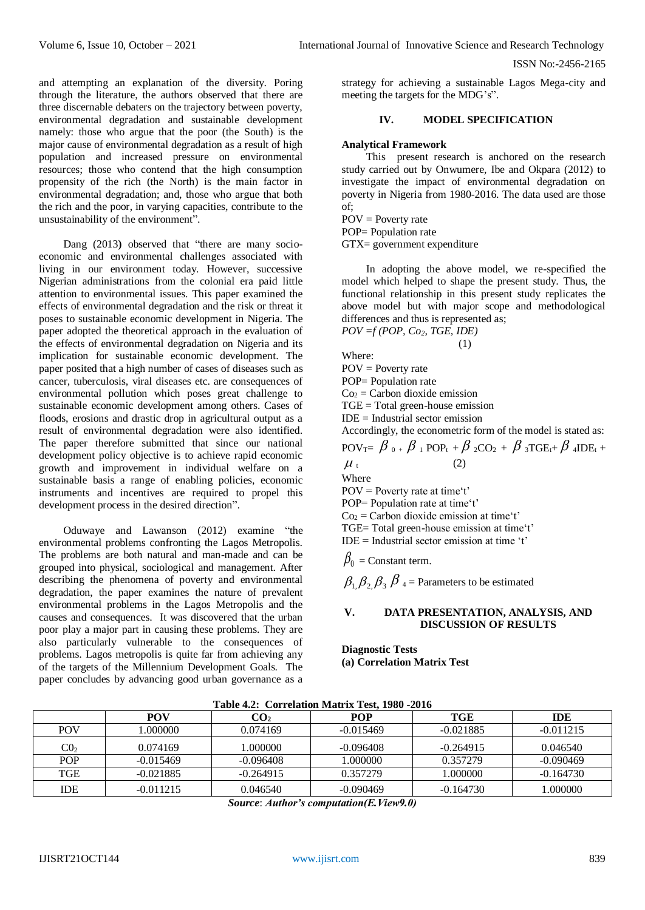and attempting an explanation of the diversity. Poring through the literature, the authors observed that there are three discernable debaters on the trajectory between poverty, environmental degradation and sustainable development namely: those who argue that the poor (the South) is the major cause of environmental degradation as a result of high population and increased pressure on environmental resources; those who contend that the high consumption propensity of the rich (the North) is the main factor in environmental degradation; and, those who argue that both the rich and the poor, in varying capacities, contribute to the unsustainability of the environment".

Dang (2013**)** observed that "there are many socioeconomic and environmental challenges associated with living in our environment today. However, successive Nigerian administrations from the colonial era paid little attention to environmental issues. This paper examined the effects of environmental degradation and the risk or threat it poses to sustainable economic development in Nigeria. The paper adopted the theoretical approach in the evaluation of the effects of environmental degradation on Nigeria and its implication for sustainable economic development. The paper posited that a high number of cases of diseases such as cancer, tuberculosis, viral diseases etc. are consequences of environmental pollution which poses great challenge to sustainable economic development among others. Cases of floods, erosions and drastic drop in agricultural output as a result of environmental degradation were also identified. The paper therefore submitted that since our national development policy objective is to achieve rapid economic growth and improvement in individual welfare on a sustainable basis a range of enabling policies, economic instruments and incentives are required to propel this development process in the desired direction".

Oduwaye and Lawanson (2012) examine "the environmental problems confronting the Lagos Metropolis. The problems are both natural and man-made and can be grouped into physical, sociological and management. After describing the phenomena of poverty and environmental degradation, the paper examines the nature of prevalent environmental problems in the Lagos Metropolis and the causes and consequences. It was discovered that the urban poor play a major part in causing these problems. They are also particularly vulnerable to the consequences of problems. Lagos metropolis is quite far from achieving any of the targets of the Millennium Development Goals. The paper concludes by advancing good urban governance as a

strategy for achieving a sustainable Lagos Mega-city and meeting the targets for the MDG's".

## **IV. MODEL SPECIFICATION**

## **Analytical Framework**

This present research is anchored on the research study carried out by Onwumere, Ibe and Okpara (2012) to investigate the impact of environmental degradation on poverty in Nigeria from 1980-2016. The data used are those of;

 $POV = Powerty$  rate

POP= Population rate

GTX= government expenditure

In adopting the above model, we re-specified the model which helped to shape the present study. Thus, the functional relationship in this present study replicates the above model but with major scope and methodological differences and thus is represented as; *POV =f (POP, Co2, TGE, IDE)*

(1) Where:  $POV = Powerty$  rate POP= Population rate  $Co<sub>2</sub> = Carbon dioxide emission$ TGE = Total green-house emission  $IDE = Industrial sector emission$ Accordingly, the econometric form of the model is stated as:  $\mathrm{POV}_{\mathrm{T}}\!\!=\left\lceil \beta\right\rceil_0+\beta\left\lceil_1\mathrm{POP}_\mathrm{t}+\beta\right\rceil_2\mathrm{CO}_2+\beta\left\lceil_3\mathrm{TGE}_\mathrm{t}+\beta\right\rceil_4\mathrm{IDE}_\mathrm{t}+ \nonumber$  $\mu_{t}$  (2) Where POV = Poverty rate at time't' POP= Population rate at time't'  $Co<sub>2</sub> = Carbon dioxide emission at time't'$ TGE= Total green-house emission at time't'  $IDE = Industrial sector emission at time 't'$  $\beta_0^{}$  = Constant term.

 $\beta_1$ ,  $\beta_2$ ,  $\beta_3$ ,  $\beta_4$  = Parameters to be estimated

## **V. DATA PRESENTATION, ANALYSIS, AND DISCUSSION OF RESULTS**

**Diagnostic Tests (a) Correlation Matrix Test** 

|                 |             |                 | Tuble 1.2. Correlation matrix rest, 1700 2010 |             |             |
|-----------------|-------------|-----------------|-----------------------------------------------|-------------|-------------|
|                 | POV         | CO <sub>2</sub> | POP                                           | TGE         | <b>IDE</b>  |
| <b>POV</b>      | .000000     | 0.074169        | $-0.015469$                                   | $-0.021885$ | $-0.011215$ |
| $\mathrm{C0}_2$ | 0.074169    | .000000         | $-0.096408$                                   | $-0.264915$ | 0.046540    |
| <b>POP</b>      | $-0.015469$ | $-0.096408$     | 1.000000                                      | 0.357279    | $-0.090469$ |
| TGE             | $-0.021885$ | $-0.264915$     | 0.357279                                      | .000000     | $-0.164730$ |
| IDE             | $-0.011215$ | 0.046540        | $-0.090469$                                   | $-0.164730$ | 1.000000    |

**Table 4.2: Correlation Matrix Test, 1980 -2016**

*Source*: *Author's computation(E.View9.0)*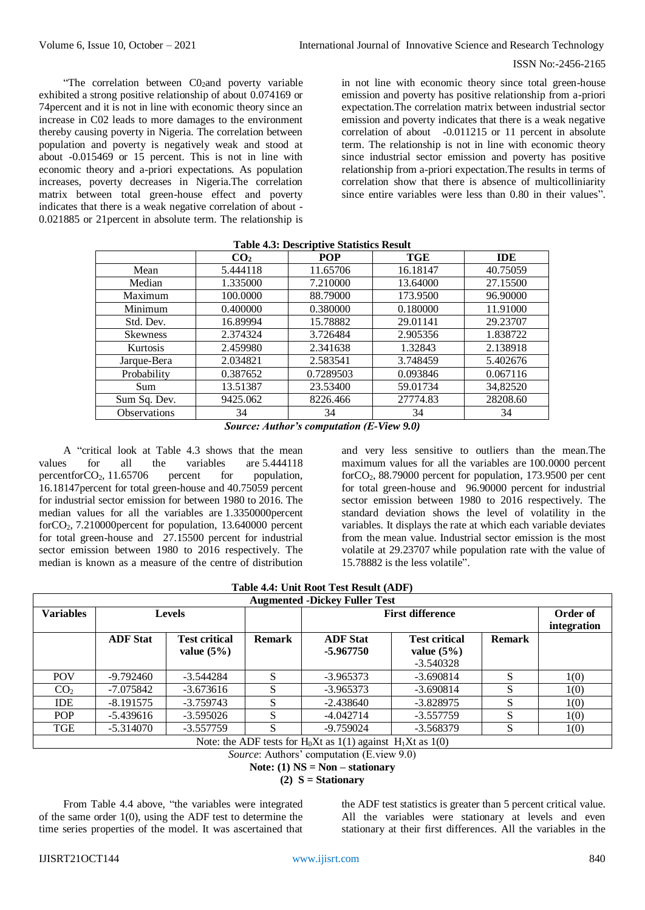"The correlation between  $CO<sub>2</sub>$  and poverty variable exhibited a strong positive relationship of about 0.074169 or 74percent and it is not in line with economic theory since an increase in C02 leads to more damages to the environment thereby causing poverty in Nigeria. The correlation between population and poverty is negatively weak and stood at about -0.015469 or 15 percent. This is not in line with economic theory and a-priori expectations. As population increases, poverty decreases in Nigeria.The correlation matrix between total green-house effect and poverty indicates that there is a weak negative correlation of about - 0.021885 or 21percent in absolute term. The relationship is in not line with economic theory since total green-house emission and poverty has positive relationship from a-priori expectation.The correlation matrix between industrial sector emission and poverty indicates that there is a weak negative correlation of about -0.011215 or 11 percent in absolute term. The relationship is not in line with economic theory since industrial sector emission and poverty has positive relationship from a-priori expectation.The results in terms of correlation show that there is absence of multicolliniarity since entire variables were less than 0.80 in their values".

| Tuble not belocitibute beambach repute |                 |            |          |            |
|----------------------------------------|-----------------|------------|----------|------------|
|                                        | CO <sub>2</sub> | <b>POP</b> | TGE      | <b>IDE</b> |
| Mean                                   | 5.444118        | 11.65706   | 16.18147 | 40.75059   |
| Median                                 | 1.335000        | 7.210000   | 13.64000 | 27.15500   |
| Maximum                                | 100.0000        | 88.79000   | 173.9500 | 96.90000   |
| Minimum                                | 0.400000        | 0.380000   | 0.180000 | 11.91000   |
| Std. Dev.                              | 16.89994        | 15.78882   | 29.01141 | 29.23707   |
| <b>Skewness</b>                        | 2.374324        | 3.726484   | 2.905356 | 1.838722   |
| Kurtosis                               | 2.459980        | 2.341638   | 1.32843  | 2.138918   |
| Jarque-Bera                            | 2.034821        | 2.583541   | 3.748459 | 5.402676   |
| Probability                            | 0.387652        | 0.7289503  | 0.093846 | 0.067116   |
| Sum                                    | 13.51387        | 23.53400   | 59.01734 | 34,82520   |
| Sum Sq. Dev.                           | 9425.062        | 8226.466   | 27774.83 | 28208.60   |
| <b>Observations</b>                    | 34              | 34         | 34       | 34         |

# **Table 4.3: Descriptive Statistics Result**

*Source: Author's computation (E-View 9.0)*

A "critical look at Table 4.3 shows that the mean values for all the variables are 5.444118 percentfor $CO<sub>2</sub>$ , 11.65706 percent for population, 16.18147percent for total green-house and 40.75059 percent for industrial sector emission for between 1980 to 2016. The median values for all the variables are 1.3350000percent forCO2, 7.210000percent for population, 13.640000 percent for total green-house and 27.15500 percent for industrial sector emission between 1980 to 2016 respectively. The median is known as a measure of the centre of distribution

and very less sensitive to outliers than the mean.The maximum values for all the variables are 100.0000 percent for $CO<sub>2</sub>$ , 88.79000 percent for population, 173.9500 per cent for total green-house and 96.90000 percent for industrial sector emission between 1980 to 2016 respectively. The standard deviation shows the level of volatility in the variables. It displays the rate at which each variable deviates from the mean value. Industrial sector emission is the most volatile at 29.23707 while population rate with the value of 15.78882 is the less volatile".

# **Table 4.4: Unit Root Test Result (ADF)**

|                  |                 |                                       |               | <b>Augmented -Dickey Fuller Test</b>                    |                                                      |               |                         |
|------------------|-----------------|---------------------------------------|---------------|---------------------------------------------------------|------------------------------------------------------|---------------|-------------------------|
| <b>Variables</b> |                 | <b>Levels</b>                         |               | <b>First difference</b>                                 |                                                      |               | Order of<br>integration |
|                  | <b>ADF Stat</b> | <b>Test critical</b><br>value $(5\%)$ | <b>Remark</b> | <b>ADF Stat</b><br>-5.967750                            | <b>Test critical</b><br>value $(5\%)$<br>$-3.540328$ | <b>Remark</b> |                         |
| <b>POV</b>       | $-9.792460$     | $-3.544284$                           |               | $-3.965373$                                             | $-3.690814$                                          |               | 1(0)                    |
| CO <sub>2</sub>  | -7.075842       | $-3.673616$                           |               | $-3.965373$                                             | $-3.690814$                                          | S             | 1(0)                    |
| <b>IDE</b>       | $-8.191575$     | $-3.759743$                           |               | $-2.438640$                                             | $-3.828975$                                          | S             | 1(0)                    |
| <b>POP</b>       | $-5.439616$     | $-3.595026$                           |               | $-4.042714$                                             | $-3.557759$                                          | S             | 1(0)                    |
| TGE              | $-5.314070$     | $-3.557759$                           |               | $-9.759024$                                             | $-3.568379$                                          | S             | 1(0)                    |
|                  |                 |                                       |               | Material ADD (and Contractor 474) and the Material 470) |                                                      |               |                         |

Note: the ADF tests for  $H_0Xt$  as 1(1) against  $H_1Xt$  as 1(0)

*Source*: Authors' computation (E.view 9.0) **Note: (1) NS = Non – stationary**

**(2) S = Stationary**

From Table 4.4 above, "the variables were integrated of the same order 1(0), using the ADF test to determine the time series properties of the model. It was ascertained that the ADF test statistics is greater than 5 percent critical value. All the variables were stationary at levels and even stationary at their first differences. All the variables in the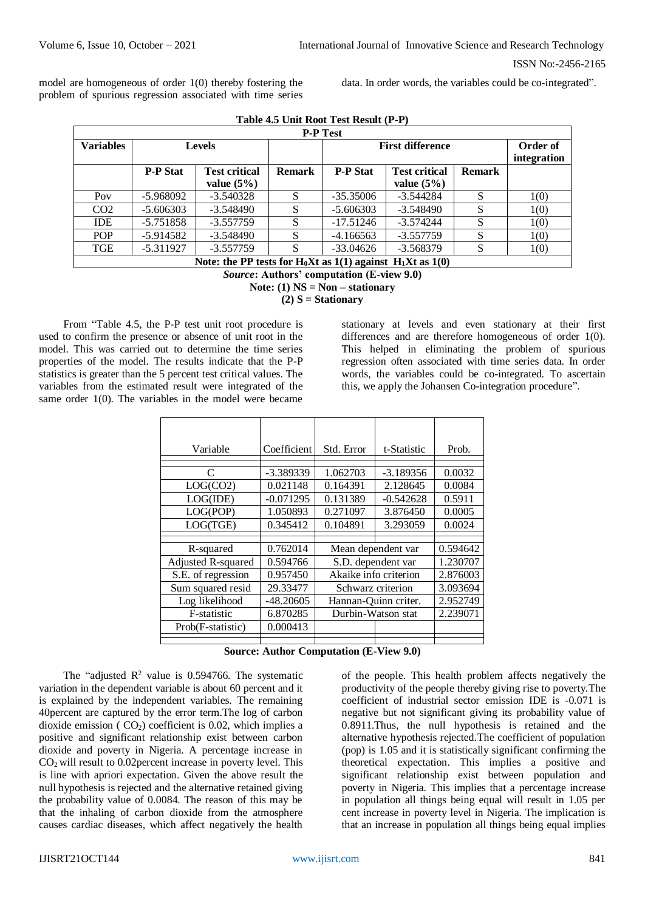model are homogeneous of order 1(0) thereby fostering the problem of spurious regression associated with time series

data. In order words, the variables could be co-integrated".

|                  |                 |                                                                    |               | <b>P-P Test</b> |                         |               |             |
|------------------|-----------------|--------------------------------------------------------------------|---------------|-----------------|-------------------------|---------------|-------------|
| <b>Variables</b> |                 | <b>Levels</b>                                                      |               |                 | <b>First difference</b> |               | Order of    |
|                  |                 |                                                                    |               |                 |                         |               | integration |
|                  | <b>P-P Stat</b> | <b>Test critical</b>                                               | <b>Remark</b> | <b>P-P Stat</b> | <b>Test critical</b>    | <b>Remark</b> |             |
|                  |                 | value $(5\%)$                                                      |               |                 | value $(5\%)$           |               |             |
| Pov              | -5.968092       | $-3.540328$                                                        |               | $-35.35006$     | $-3.544284$             |               | 1(0)        |
| CO <sub>2</sub>  | $-5.606303$     | $-3.548490$                                                        |               | $-5.606303$     | $-3.548490$             | S             | 1(0)        |
| <b>IDE</b>       | $-5.751858$     | $-3.557759$                                                        |               | $-17.51246$     | $-3.574244$             | S             | 1(0)        |
| <b>POP</b>       | $-5.914582$     | $-3.548490$                                                        | S             | $-4.166563$     | $-3.557759$             | S             | 1(0)        |
| TGE              | $-5.311927$     | $-3.557759$                                                        | S             | $-33.04626$     | $-3.568379$             | S             | 1(0)        |
|                  |                 | <b>MEA AT A THAT A PET WAS THE SECOND FOR A TELEVALUATE A 4700</b> |               |                 |                         |               |             |

| Table 4.5 Unit Root Test Result (P-P) |  |
|---------------------------------------|--|
|---------------------------------------|--|

**Note: the PP tests for H0Xt as 1(1) against H1Xt as 1(0)**

*Source***: Authors' computation (E-view 9.0)**

**Note: (1) NS = Non – stationary**

**(2) S = Stationary**

From "Table 4.5, the P-P test unit root procedure is used to confirm the presence or absence of unit root in the model. This was carried out to determine the time series properties of the model. The results indicate that the P-P statistics is greater than the 5 percent test critical values. The variables from the estimated result were integrated of the same order 1(0). The variables in the model were became

stationary at levels and even stationary at their first differences and are therefore homogeneous of order 1(0). This helped in eliminating the problem of spurious regression often associated with time series data. In order words, the variables could be co-integrated. To ascertain this, we apply the Johansen Co-integration procedure".

| Variable           | Coefficient | Std. Error            | t-Statistic        | Prob.    |
|--------------------|-------------|-----------------------|--------------------|----------|
|                    |             |                       |                    |          |
| C                  | -3.389339   | 1.062703              | $-3.189356$        | 0.0032   |
| LOG(CO2)           | 0.021148    | 0.164391              | 2.128645           | 0.0084   |
| LOG(IDE)           | $-0.071295$ | 0.131389              | $-0.542628$        | 0.5911   |
| LOG(POP)           | 1.050893    | 0.271097              | 3.876450           | 0.0005   |
| LOG(TGE)           | 0.345412    | 0.104891              | 3.293059           | 0.0024   |
|                    |             |                       |                    |          |
| R-squared          | 0.762014    |                       | Mean dependent var | 0.594642 |
| Adjusted R-squared | 0.594766    | S.D. dependent var    |                    | 1.230707 |
| S.E. of regression | 0.957450    | Akaike info criterion |                    | 2.876003 |
| Sum squared resid  | 29.33477    | Schwarz criterion     |                    | 3.093694 |
| Log likelihood     | $-48.20605$ | Hannan-Quinn criter.  |                    | 2.952749 |
| F-statistic        | 6.870285    | Durbin-Watson stat    |                    | 2.239071 |
| Prob(F-statistic)  | 0.000413    |                       |                    |          |
|                    |             |                       |                    |          |

| <b>Source: Author Computation (E-View 9.0)</b> |  |  |  |  |  |
|------------------------------------------------|--|--|--|--|--|
|------------------------------------------------|--|--|--|--|--|

The "adjusted  $R^2$  value is 0.594766. The systematic variation in the dependent variable is about 60 percent and it is explained by the independent variables. The remaining 40percent are captured by the error term.The log of carbon dioxide emission ( $CO<sub>2</sub>$ ) coefficient is 0.02, which implies a positive and significant relationship exist between carbon dioxide and poverty in Nigeria. A percentage increase in  $CO<sub>2</sub>$  will result to 0.02 percent increase in poverty level. This is line with apriori expectation. Given the above result the null hypothesis is rejected and the alternative retained giving the probability value of 0.0084. The reason of this may be that the inhaling of carbon dioxide from the atmosphere causes cardiac diseases, which affect negatively the health

of the people. This health problem affects negatively the productivity of the people thereby giving rise to poverty.The coefficient of industrial sector emission IDE is -0.071 is negative but not significant giving its probability value of 0.8911.Thus, the null hypothesis is retained and the alternative hypothesis rejected.The coefficient of population (pop) is 1.05 and it is statistically significant confirming the theoretical expectation. This implies a positive and significant relationship exist between population and poverty in Nigeria. This implies that a percentage increase in population all things being equal will result in 1.05 per cent increase in poverty level in Nigeria. The implication is that an increase in population all things being equal implies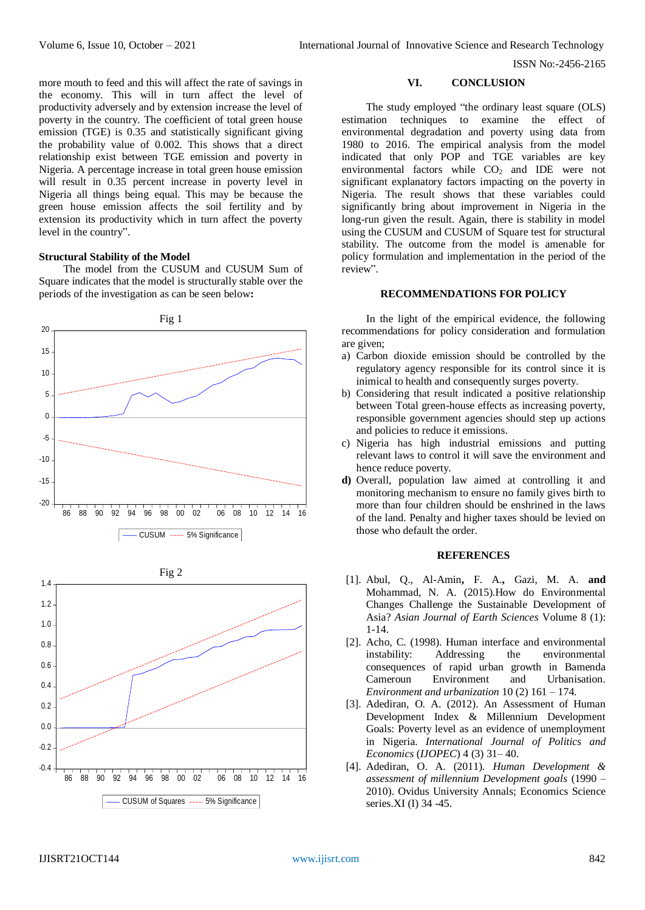more mouth to feed and this will affect the rate of savings in the economy. This will in turn affect the level of productivity adversely and by extension increase the level of poverty in the country. The coefficient of total green house emission (TGE) is 0.35 and statistically significant giving the probability value of 0.002. This shows that a direct relationship exist between TGE emission and poverty in Nigeria. A percentage increase in total green house emission will result in 0.35 percent increase in poverty level in Nigeria all things being equal. This may be because the green house emission affects the soil fertility and by extension its productivity which in turn affect the poverty level in the country".

## **Structural Stability of the Model**

The model from the CUSUM and CUSUM Sum of Square indicates that the model is structurally stable over the periods of the investigation as can be seen below**:** 





#### **VI. CONCLUSION**

The study employed "the ordinary least square (OLS) estimation techniques to examine the effect of environmental degradation and poverty using data from 1980 to 2016. The empirical analysis from the model indicated that only POP and TGE variables are key environmental factors while  $CO<sub>2</sub>$  and IDE were not significant explanatory factors impacting on the poverty in Nigeria. The result shows that these variables could significantly bring about improvement in Nigeria in the long-run given the result. Again, there is stability in model using the CUSUM and CUSUM of Square test for structural stability. The outcome from the model is amenable for policy formulation and implementation in the period of the review".

## **RECOMMENDATIONS FOR POLICY**

In the light of the empirical evidence, the following recommendations for policy consideration and formulation are given;

- a) Carbon dioxide emission should be controlled by the regulatory agency responsible for its control since it is inimical to health and consequently surges poverty.
- b) Considering that result indicated a positive relationship between Total green-house effects as increasing poverty, responsible government agencies should step up actions and policies to reduce it emissions.
- c) Nigeria has high industrial emissions and putting relevant laws to control it will save the environment and hence reduce poverty.
- **d)** Overall, population law aimed at controlling it and monitoring mechanism to ensure no family gives birth to more than four children should be enshrined in the laws of the land. Penalty and higher taxes should be levied on those who default the order.

## **REFERENCES**

- [1]. [Abul, Q., Al-Amin](http://ascidatabase.com/author.php?author=Abul%20Quasem%20Al-&last=Amin)**,** [F. A.](http://ascidatabase.com/author.php?author=Ferdous&last=Ahmed)**,** [Gazi, M. A.](http://ascidatabase.com/author.php?author=Gazi%20Mahabubul&last=Alam) **and**  [Mohammad, N. A.](http://ascidatabase.com/author.php?author=Mohammad%20Nurul&last=Azam) (2015).How do Environmental Changes Challenge the Sustainable Development of Asia? *Asian Journal of Earth Sciences* Volume 8 (1): 1-14.
- [2]. Acho, C. (1998). Human interface and environmental instability: Addressing the environmental consequences of rapid urban growth in Bamenda Cameroun Environment and Urbanisation. *Environment and urbanization* 10 (2) 161 – 174.
- [3]. Adediran, O. A. (2012). An Assessment of Human Development Index & Millennium Development Goals: Poverty level as an evidence of unemployment in Nigeria. *International Journal of Politics and Economics* (*IJOPEC*) 4 (3) 31– 40.
- [4]. Adediran, O. A. (2011). *Human Development & assessment of millennium Development goals* (1990 – 2010). Ovidus University Annals; Economics Science series.XI (I) 34 -45.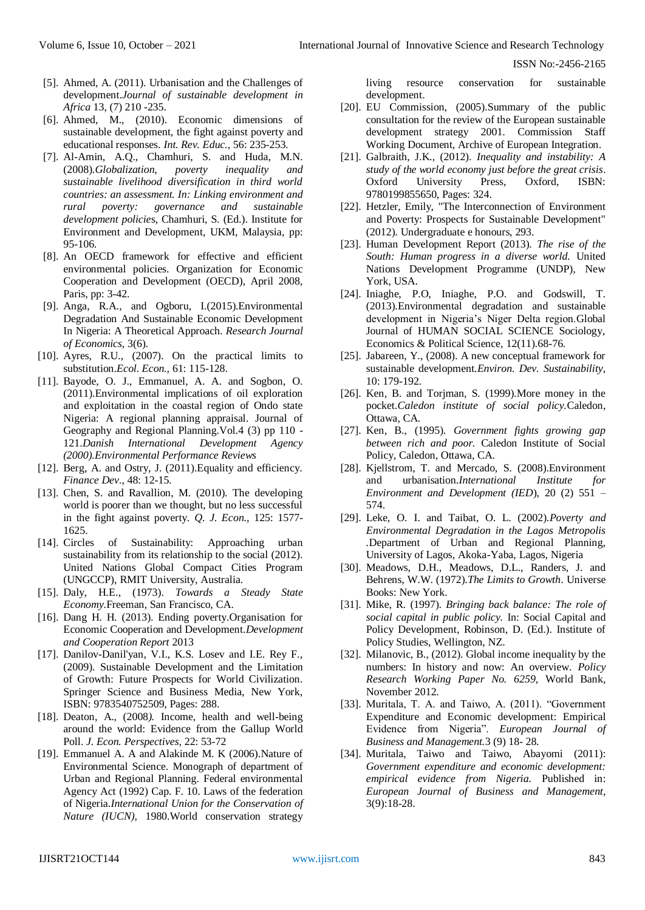- [5]. Ahmed, A. (2011). Urbanisation and the Challenges of development.*Journal of sustainable development in Africa* 13, (7) 210 -235.
- [6]. Ahmed, M., (2010). Economic dimensions of sustainable development, the fight against poverty and educational responses. *Int. Rev. Educ.*, 56: 235-253.
- [7]. Al-Amin, A.Q., Chamhuri, S. and Huda, M.N. (2008).*Globalization, poverty inequality and sustainable livelihood diversification in third world countries: an assessment. In: Linking environment and rural poverty: governance and sustainable development policie*s, Chamhuri, S. (Ed.). Institute for Environment and Development, UKM, Malaysia, pp: 95-106.
- [8]. An OECD framework for effective and efficient environmental policies. Organization for Economic Cooperation and Development (OECD), April 2008, Paris, pp: 3-42.
- [9]. Anga, R.A., and Ogboru, I.(2015).Environmental Degradation And Sustainable Economic Development In Nigeria: A Theoretical Approach. *Research Journal of Economics,* 3(6).
- [10]. Ayres, R.U., (2007). On the practical limits to substitution.*Ecol. Econ.,* 61: 115-128.
- [11]. Bayode, O. J., Emmanuel, A. A. and Sogbon, O. (2011).Environmental implications of oil exploration and exploitation in the coastal region of Ondo state Nigeria: A regional planning appraisal. Journal of Geography and Regional Planning.Vol.4 (3) pp 110 - 121.*Danish International Development Agency (2000).Environmental Performance Reviews*
- [12]. Berg, A. and Ostry, J. (2011). Equality and efficiency. *Finance Dev*., 48: 12-15.
- [13]. Chen, S. and Ravallion, M. (2010). The developing world is poorer than we thought, but no less successful in the fight against poverty. *Q. J. Econ.,* 125: 1577- 1625.
- [14]. Circles of Sustainability: Approaching urban sustainability from its relationship to the social (2012). United Nations Global Compact Cities Program (UNGCCP), RMIT University, Australia.
- [15]. Daly, H.E., (1973). *Towards a Steady State Economy*.Freeman, San Francisco, CA.
- [16]. Dang H. H. (2013). Ending poverty.Organisation for Economic Cooperation and Development.*Development and Cooperation Report* 2013
- [17]. Danilov-Danil'yan, V.I., K.S. Losev and I.E. Rey F., (2009). Sustainable Development and the Limitation of Growth: Future Prospects for World Civilization. Springer Science and Business Media, New York, ISBN: 9783540752509, Pages: 288.
- [18]. Deaton, A., (2008*).* Income, health and well-being around the world: Evidence from the Gallup World Poll. *J. Econ. Perspectives,* 22: 53-72
- [19]. Emmanuel A. A and Alakinde M. K (2006). Nature of Environmental Science. Monograph of department of Urban and Regional Planning. Federal environmental Agency Act (1992) Cap. F. 10. Laws of the federation of Nigeria.*International Union for the Conservation of Nature (IUCN),* 1980.World conservation strategy

living resource conservation for sustainable development.

- [20]. EU Commission, (2005).Summary of the public consultation for the review of the European sustainable development strategy 2001. Commission Staff Working Document, Archive of European Integration.
- [21]. Galbraith, J.K., (2012). *Inequality and instability: A study of the world economy just before the great crisis*. Oxford University Press, Oxford, ISBN: 9780199855650, Pages: 324.
- [22]. Hetzler, Emily, "The Interconnection of Environment and Poverty: Prospects for Sustainable Development" (2012). Undergraduate e honours, 293.
- [23]. Human Development Report (2013). *The rise of the South: Human progress in a diverse world.* United Nations Development Programme (UNDP), New York, USA.
- [24]. Iniaghe, P.O, Iniaghe, P.O. and Godswill, T. (2013).Environmental degradation and sustainable development in Nigeria's Niger Delta region.Global Journal of HUMAN SOCIAL SCIENCE Sociology, Economics & Political Science, 12(11).68-76.
- [25]. Jabareen, Y., (2008). A new conceptual framework for sustainable development*.Environ. Dev. Sustainability,* 10: 179-192.
- [26]. Ken, B. and Torjman, S. (1999).More money in the pocket.*Caledon institute of social policy.*Caledon, Ottawa, CA.
- [27]. Ken, B., (1995). *Government fights growing gap between rich and poor.* Caledon Institute of Social Policy, Caledon, Ottawa, CA.
- [28]. Kjellstrom, T. and Mercado, S. (2008).Environment and urbanisation.*International Institute for Environment and Development (IED*), 20 (2) 551 – 574.
- [29]. Leke, O. I. and Taibat, O. L. (2002).*Poverty and Environmental Degradation in the Lagos Metropolis .*Department of Urban and Regional Planning, University of Lagos, Akoka-Yaba, Lagos, Nigeria
- [30]. Meadows, D.H., Meadows, D.L., Randers, J. and Behrens, W.W. (1972).*The Limits to Growth*. Universe Books: New York.
- [31]. Mike, R. (1997). *Bringing back balance: The role of social capital in public policy.* In: Social Capital and Policy Development, Robinson, D. (Ed.). Institute of Policy Studies, Wellington, NZ.
- [32]. Milanovic, B., (2012). Global income inequality by the numbers: In history and now: An overview. *Policy Research Working Paper No. 6259*, World Bank, November 2012.
- [33]. Muritala, T. A. and Taiwo, A. (2011). "Government Expenditure and Economic development: Empirical Evidence from Nigeria". *European Journal of Business and Management.*3 (9) 18- 28.
- [34]. Muritala, Taiwo and Taiwo, Abayomi (2011): *Government expenditure and economic development: empirical evidence from Nigeria.* Published in: *European Journal of Business and Management*, 3(9):18-28.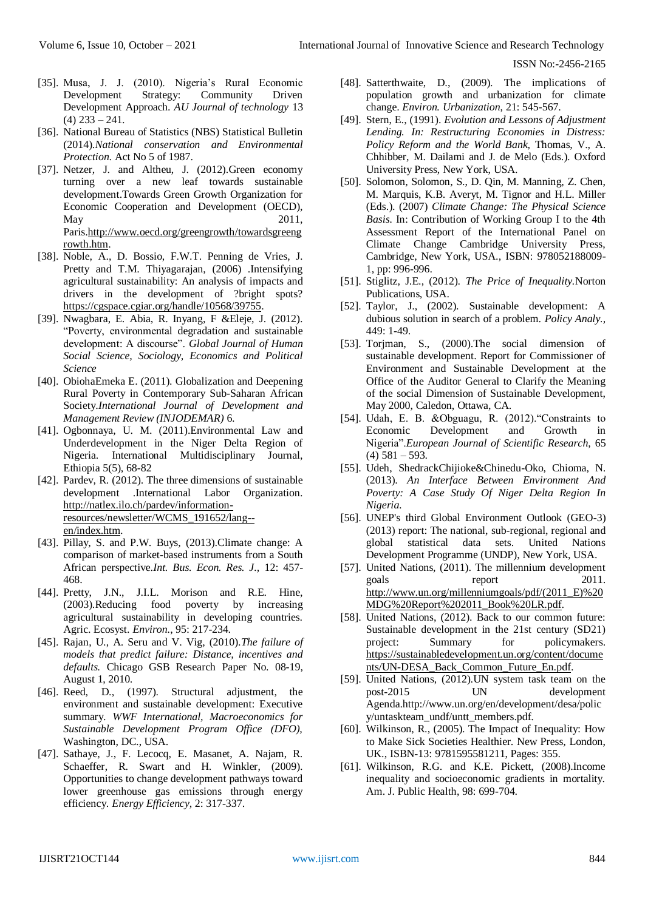- [35]. Musa, J. J. (2010). Nigeria's Rural Economic Development Strategy: Community Driven Development Approach. *AU Journal of technology* 13  $(4)$  233 – 241.
- [36]. National Bureau of Statistics (NBS) Statistical Bulletin (2014).*National conservation and Environmental Protection*. Act No 5 of 1987.
- [37]. Netzer, J. and Altheu, J. (2012).Green economy turning over a new leaf towards sustainable development.Towards Green Growth Organization for Economic Cooperation and Development (OECD), May 2011, Paris[.http://www.oecd.org/greengrowth/towardsgreeng](http://www.oecd.org/greengrowth/towardsgreengrowth.htm) [rowth.htm.](http://www.oecd.org/greengrowth/towardsgreengrowth.htm)
- [38]. Noble, A., D. Bossio, F.W.T. Penning de Vries, J. Pretty and T.M. Thiyagarajan, (2006) .Intensifying agricultural sustainability: An analysis of impacts and drivers in the development of ?bright spots? [https://cgspace.cgiar.org/handle/10568/39755.](https://cgspace.cgiar.org/handle/10568/39755)
- [39]. Nwagbara, E. Abia, R. Inyang, F &Eleje, J. (2012). "Poverty, environmental degradation and sustainable development: A discourse". *Global Journal of Human Social Science, Sociology, Economics and Political Science*
- [40]. ObiohaEmeka E. (2011). Globalization and Deepening Rural Poverty in Contemporary Sub-Saharan African Society.*International Journal of Development and Management Review (INJODEMAR)* 6.
- [41]. Ogbonnaya, U. M. (2011).Environmental Law and Underdevelopment in the Niger Delta Region of Nigeria. International Multidisciplinary Journal, Ethiopia 5(5), 68-82
- [42]. Pardev, R. (2012). The three dimensions of sustainable development .International Labor Organization. [http://natlex.ilo.ch/pardev/information](http://natlex.ilo.ch/pardev/information-resources/newsletter/WCMS_191652/lang--en/index.htm)[resources/newsletter/WCMS\\_191652/lang-](http://natlex.ilo.ch/pardev/information-resources/newsletter/WCMS_191652/lang--en/index.htm) [en/index.htm.](http://natlex.ilo.ch/pardev/information-resources/newsletter/WCMS_191652/lang--en/index.htm)
- [43]. Pillay, S. and P.W. Buys, (2013).Climate change: A comparison of market-based instruments from a South African perspective.*Int. Bus. Econ. Res. J.,* 12: 457- 468.
- [44]. Pretty, J.N., J.I.L. Morison and R.E. Hine, (2003).Reducing food poverty by increasing agricultural sustainability in developing countries. Agric. Ecosyst. *Environ.*, 95: 217-234.
- [45]. Rajan, U., A. Seru and V. Vig, (2010).*The failure of models that predict failure: Distance, incentives and defaults.* Chicago GSB Research Paper No. 08-19, August 1, 2010.
- [46]. Reed, D., (1997). Structural adjustment, the environment and sustainable development: Executive summary. *WWF International, Macroeconomics for Sustainable Development Program Office (DFO),* Washington, DC., USA.
- [47]. Sathaye, J., F. Lecocq, E. Masanet, A. Najam, R. Schaeffer, R. Swart and H. Winkler, (2009). Opportunities to change development pathways toward lower greenhouse gas emissions through energy efficiency. *Energy Efficiency*, 2: 317-337.
- [48]. Satterthwaite, D., (2009). The implications of population growth and urbanization for climate change. *Environ. Urbanization*, 21: 545-567.
- [49]. Stern, E., (1991). *Evolution and Lessons of Adjustment Lending. In: Restructuring Economies in Distress: Policy Reform and the World Bank,* Thomas, V., A. Chhibber, M. Dailami and J. de Melo (Eds.). Oxford University Press, New York, USA.
- [50]. Solomon, Solomon, S., D. Qin, M. Manning, Z. Chen, M. Marquis, K.B. Averyt, M. Tignor and H.L. Miller (Eds.). (2007) *Climate Change: The Physical Science Basis.* In: Contribution of Working Group I to the 4th Assessment Report of the International Panel on Climate Change Cambridge University Press, Cambridge, New York, USA., ISBN: 978052188009- 1, pp: 996-996.
- [51]. Stiglitz, J.E., (2012). *The Price of Inequality.*Norton Publications, USA.
- [52]. Taylor, J., (2002). Sustainable development: A dubious solution in search of a problem. *Policy Analy.,* 449: 1-49.
- [53]. Torjman, S., (2000).The social dimension of sustainable development. Report for Commissioner of Environment and Sustainable Development at the Office of the Auditor General to Clarify the Meaning of the social Dimension of Sustainable Development, May 2000, Caledon, Ottawa, CA.
- [54]. Udah, E. B. &Obguagu, R. (2012)."Constraints to Economic Development and Growth in Nigeria".*European Journal of Scientific Research*, 65  $(4)$  581 – 593.
- [55]. Udeh, ShedrackChijioke&Chinedu-Oko, Chioma, N. (2013). *An Interface Between Environment And Poverty: A Case Study Of Niger Delta Region In Nigeria.*
- [56]. UNEP's third Global Environment Outlook (GEO-3) (2013) report: The national, sub-regional, regional and global statistical data sets. United Nations Development Programme (UNDP), New York, USA.
- [57]. United Nations, (2011). The millennium development goals report 2011. [http://www.un.org/millenniumgoals/pdf/\(2011\\_E\)%20](http://www.un.org/millenniumgoals/pdf/(2011_E)%20MDG%20Report%202011_Book%20LR.pdf) [MDG%20Report%202011\\_Book%20LR.pdf.](http://www.un.org/millenniumgoals/pdf/(2011_E)%20MDG%20Report%202011_Book%20LR.pdf)
- [58]. United Nations, (2012). Back to our common future: Sustainable development in the 21st century (SD21) project: Summary for policymakers. [https://sustainabledevelopment.un.org/content/docume](https://sustainabledevelopment.un.org/content/documents/UN-DESA_Back_Common_Future_En.pdf) [nts/UN-DESA\\_Back\\_Common\\_Future\\_En.pdf.](https://sustainabledevelopment.un.org/content/documents/UN-DESA_Back_Common_Future_En.pdf)
- [59]. United Nations, (2012).UN system task team on the post-2015 UN development Agenda.http://www.un.org/en/development/desa/polic y/untaskteam\_undf/untt\_members.pdf.
- [60]. Wilkinson, R., (2005). The Impact of Inequality: How to Make Sick Societies Healthier. New Press, London, UK., ISBN-13: 9781595581211, Pages: 355.
- [61]. Wilkinson, R.G. and K.E. Pickett, (2008).Income inequality and socioeconomic gradients in mortality. Am. J. Public Health, 98: 699-704.